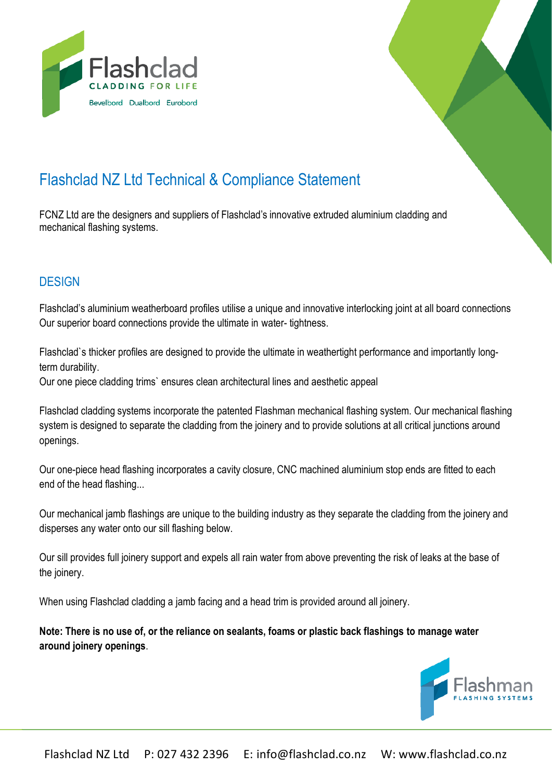



# Flashclad NZ Ltd Technical & Compliance Statement

FCNZ Ltd are the designers and suppliers of Flashclad's innovative extruded aluminium cladding and mechanical flashing systems.

# **DESIGN**

Flashclad's aluminium weatherboard profiles utilise a unique and innovative interlocking joint at all board connections Our superior board connections provide the ultimate in water- tightness.

Flashclad`s thicker profiles are designed to provide the ultimate in weathertight performance and importantly longterm durability.

Our one piece cladding trims` ensures clean architectural lines and aesthetic appeal

Flashclad cladding systems incorporate the patented Flashman mechanical flashing system. Our mechanical flashing system is designed to separate the cladding from the joinery and to provide solutions at all critical junctions around openings.

Our one-piece head flashing incorporates a cavity closure, CNC machined aluminium stop ends are fitted to each end of the head flashing...

Our mechanical jamb flashings are unique to the building industry as they separate the cladding from the joinery and disperses any water onto our sill flashing below.

Our sill provides full joinery support and expels all rain water from above preventing the risk of leaks at the base of the joinery.

When using Flashclad cladding a jamb facing and a head trim is provided around all joinery.

**Note: There is no use of, or the reliance on sealants, foams or plastic back flashings to manage water around joinery openings**.

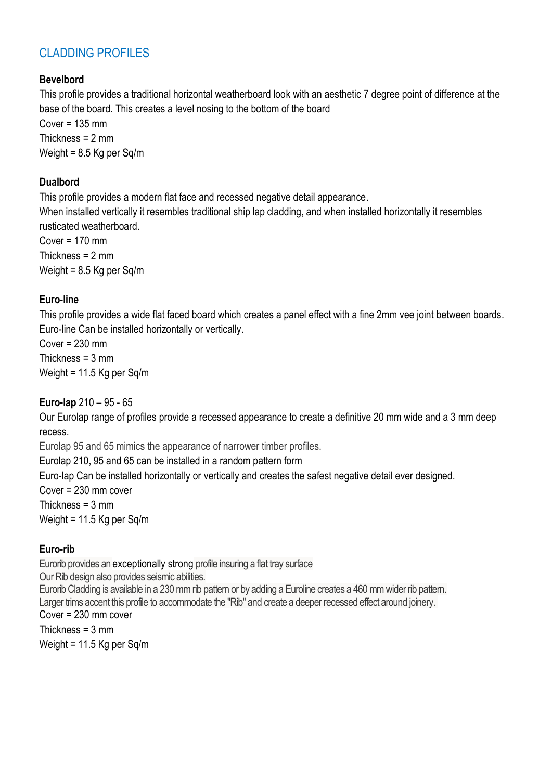# CLADDING PROFILES

### **Bevelbord**

This profile provides a traditional horizontal weatherboard look with an aesthetic 7 degree point of difference at the base of the board. This creates a level nosing to the bottom of the board  $Cover = 135$  mm Thickness = 2 mm Weight = 8.5 Kg per Sq/m

#### **Dualbord**

This profile provides a modern flat face and recessed negative detail appearance. When installed vertically it resembles traditional ship lap cladding, and when installed horizontally it resembles rusticated weatherboard. Cover = 170 mm Thickness = 2 mm Weight = 8.5 Kg per Sq/m

#### **Euro-line**

This profile provides a wide flat faced board which creates a panel effect with a fine 2mm vee joint between boards. Euro-line Can be installed horizontally or vertically.

 $Cover = 230$  mm Thickness =  $3 \text{ mm}$ Weight = 11.5 Kg per Sq/m

#### **Euro-lap** 210 – 95 - 65

Our Eurolap range of profiles provide a recessed appearance to create a definitive 20 mm wide and a 3 mm deep recess.

Eurolap 95 and 65 mimics the appearance of narrower timber profiles.

Eurolap 210, 95 and 65 can be installed in a random pattern form

Euro-lap Can be installed horizontally or vertically and creates the safest negative detail ever designed.

Cover = 230 mm cover

Thickness = 3 mm

Weight = 11.5 Kg per Sq/m

#### **Euro-rib**

Eurorib provides an exceptionally strong profile insuring a flat tray surface Our Rib design also provides seismic abilities. Eurorib Cladding is available in a 230 mm rib pattern or by adding a Euroline creates a 460 mm wider rib pattern. Larger trims accent this profile to accommodate the "Rib" and create a deeper recessed effect around joinery. Cover = 230 mm cover Thickness  $=$  3 mm

Weight = 11.5 Kg per Sq/m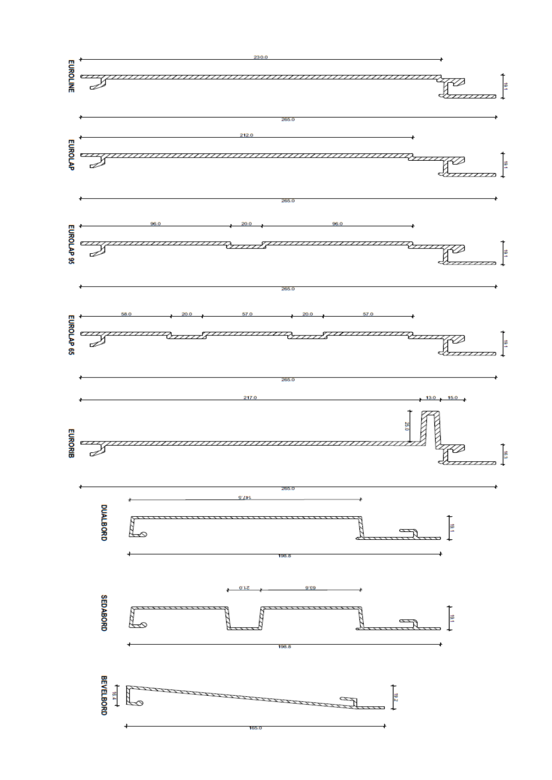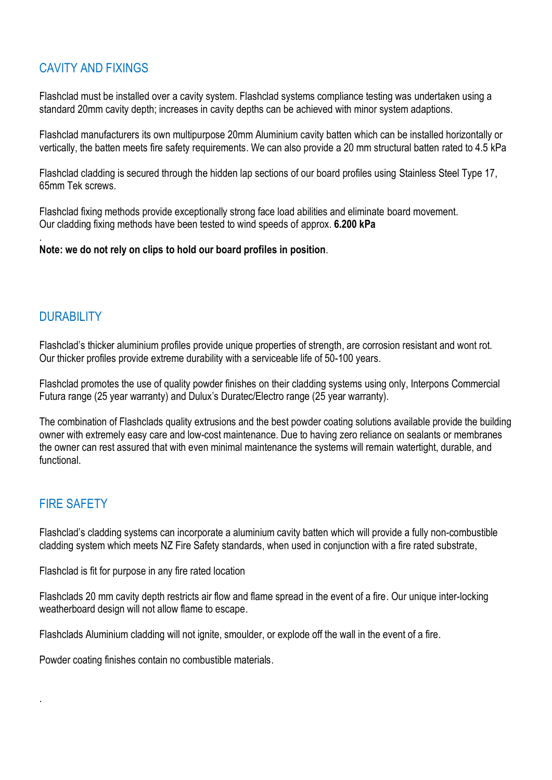# CAVITY AND FIXINGS

Flashclad must be installed over a cavity system. Flashclad systems compliance testing was undertaken using a standard 20mm cavity depth; increases in cavity depths can be achieved with minor system adaptions.

Flashclad manufacturers its own multipurpose 20mm Aluminium cavity batten which can be installed horizontally or vertically, the batten meets fire safety requirements. We can also provide a 20 mm structural batten rated to 4.5 kPa

Flashclad cladding is secured through the hidden lap sections of our board profiles using Stainless Steel Type 17, 65mm Tek screws.

Flashclad fixing methods provide exceptionally strong face load abilities and eliminate board movement. Our cladding fixing methods have been tested to wind speeds of approx. **6.200 kPa** 

**Note: we do not rely on clips to hold our board profiles in position**.

# **DURABILITY**

.

Flashclad's thicker aluminium profiles provide unique properties of strength, are corrosion resistant and wont rot. Our thicker profiles provide extreme durability with a serviceable life of 50-100 years.

Flashclad promotes the use of quality powder finishes on their cladding systems using only, Interpons Commercial Futura range (25 year warranty) and Dulux's Duratec/Electro range (25 year warranty).

The combination of Flashclads quality extrusions and the best powder coating solutions available provide the building owner with extremely easy care and low-cost maintenance. Due to having zero reliance on sealants or membranes the owner can rest assured that with even minimal maintenance the systems will remain watertight, durable, and functional.

# FIRE SAFETY

.

Flashclad's cladding systems can incorporate a aluminium cavity batten which will provide a fully non-combustible cladding system which meets NZ Fire Safety standards, when used in conjunction with a fire rated substrate,

Flashclad is fit for purpose in any fire rated location

Flashclads 20 mm cavity depth restricts air flow and flame spread in the event of a fire. Our unique inter-locking weatherboard design will not allow flame to escape.

Flashclads Aluminium cladding will not ignite, smoulder, or explode off the wall in the event of a fire.

Powder coating finishes contain no combustible materials.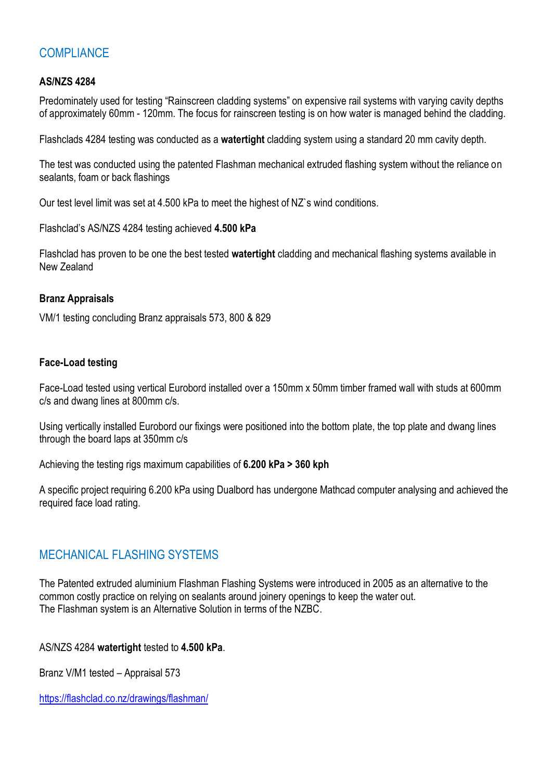# **COMPLIANCE**

#### **AS/NZS 4284**

Predominately used for testing "Rainscreen cladding systems" on expensive rail systems with varying cavity depths of approximately 60mm - 120mm. The focus for rainscreen testing is on how water is managed behind the cladding.

Flashclads 4284 testing was conducted as a **watertight** cladding system using a standard 20 mm cavity depth.

The test was conducted using the patented Flashman mechanical extruded flashing system without the reliance on sealants, foam or back flashings

Our test level limit was set at 4.500 kPa to meet the highest of NZ`s wind conditions.

Flashclad's AS/NZS 4284 testing achieved **4.500 kPa**

Flashclad has proven to be one the best tested **watertight** cladding and mechanical flashing systems available in New Zealand

#### **Branz Appraisals**

VM/1 testing concluding Branz appraisals 573, 800 & 829

#### **Face-Load testing**

Face-Load tested using vertical Eurobord installed over a 150mm x 50mm timber framed wall with studs at 600mm c/s and dwang lines at 800mm c/s.

Using vertically installed Eurobord our fixings were positioned into the bottom plate, the top plate and dwang lines through the board laps at 350mm c/s

Achieving the testing rigs maximum capabilities of **6.200 kPa > 360 kph**

A specific project requiring 6.200 kPa using Dualbord has undergone Mathcad computer analysing and achieved the required face load rating.

# MECHANICAL FLASHING SYSTEMS

The Patented extruded aluminium Flashman Flashing Systems were introduced in 2005 as an alternative to the common costly practice on relying on sealants around joinery openings to keep the water out. The Flashman system is an Alternative Solution in terms of the NZBC.

AS/NZS 4284 **watertight** tested to **4.500 kPa**.

Branz V/M1 tested – Appraisal 573

<https://flashclad.co.nz/drawings/flashman/>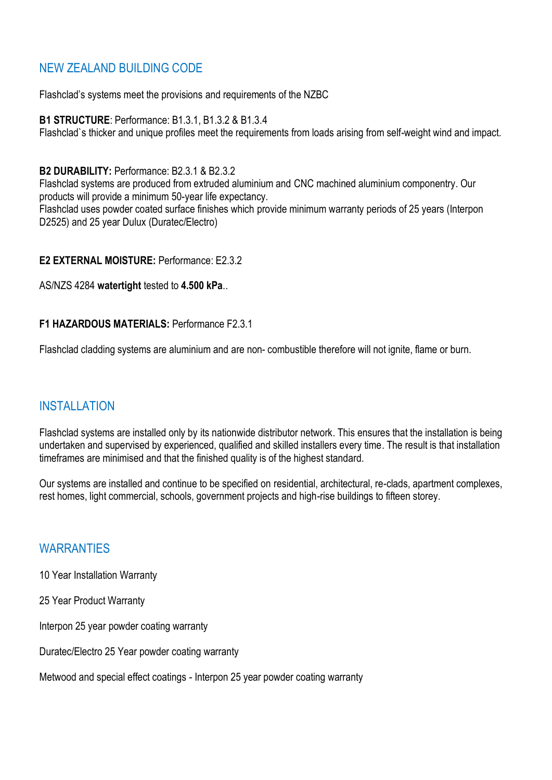# NEW ZEALAND BUILDING CODE

Flashclad's systems meet the provisions and requirements of the NZBC

**B1 STRUCTURE**: Performance: B1.3.1, B1.3.2 & B1.3.4 Flashclad`s thicker and unique profiles meet the requirements from loads arising from self-weight wind and impact.

#### **B2 DURABILITY:** Performance: B2.3.1 & B2.3.2

Flashclad systems are produced from extruded aluminium and CNC machined aluminium componentry. Our products will provide a minimum 50-year life expectancy. Flashclad uses powder coated surface finishes which provide minimum warranty periods of 25 years (Interpon D2525) and 25 year Dulux (Duratec/Electro)

#### **E2 EXTERNAL MOISTURE:** Performance: E2.3.2

AS/NZS 4284 **watertight** tested to **4.500 kPa**..

#### **F1 HAZARDOUS MATERIALS:** Performance F2.3.1

Flashclad cladding systems are aluminium and are non- combustible therefore will not ignite, flame or burn.

# INSTALLATION

Flashclad systems are installed only by its nationwide distributor network. This ensures that the installation is being undertaken and supervised by experienced, qualified and skilled installers every time. The result is that installation timeframes are minimised and that the finished quality is of the highest standard.

Our systems are installed and continue to be specified on residential, architectural, re-clads, apartment complexes, rest homes, light commercial, schools, government projects and high-rise buildings to fifteen storey.

# **WARRANTIFS**

- 10 Year Installation Warranty
- 25 Year Product Warranty
- Interpon 25 year powder coating warranty
- Duratec/Electro 25 Year powder coating warranty

Metwood and special effect coatings - Interpon 25 year powder coating warranty